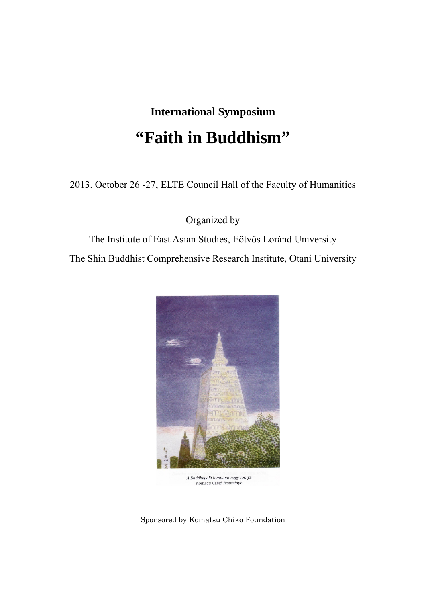# **International Symposium "Faith in Buddhism"**

2013. October 26 -27, ELTE Council Hall of the Faculty of Humanities

Organized by

The Institute of East Asian Studies, Eötvös Loránd University The Shin Buddhist Comprehensive Research Institute, Otani University



Sponsored by Komatsu Chiko Foundation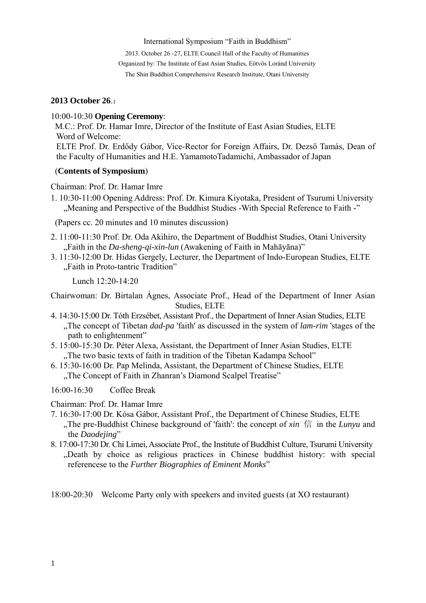#### International Symposium "Faith in Buddhism"

2013. October 26 -27, ELTE Council Hall of the Faculty of Humanities Organized by: The Institute of East Asian Studies, Eötvös Loránd University The Shin Buddhist Comprehensive Research Institute, Otani University

### **2013 October 26**.:

10:00-10:30 **Opening Ceremony**:

M.C.: Prof. Dr. Hamar Imre, Director of the Institute of East Asian Studies, ELTE Word of Welcome:

ELTE Prof. Dr. Erdődy Gábor, Vice-Rector for Foreign Affairs, Dr. Dezső Tamás, Dean of the Faculty of Humanities and H.E. YamamotoTadamichi, Ambassador of Japan

#### (**Contents of Symposium**)

Chairman: Prof. Dr. Hamar Imre

1. 10:30-11:00 Opening Address: Prof. Dr. Kimura Kiyotaka, President of Tsurumi University "Meaning and Perspective of the Buddhist Studies -With Special Reference to Faith -"

(Papers cc. 20 minutes and 10 minutes discussion)

- 2. 11:00-11:30 Prof. Dr. Oda Akihiro, the Department of Buddhist Studies, Otani University "Faith in the *Da-sheng-qi-xin-lun* (Awakening of Faith in Mahāyāna)"
- 3. 11:30-12:00 Dr. Hidas Gergely, Lecturer, the Department of Indo-European Studies, ELTE "Faith in Proto-tantric Tradition"

Lunch 12:20-14:20

Chairwoman: Dr. Birtalan Ágnes, Associate Prof., Head of the Department of Inner Asian Studies, ELTE

- 4. 14:30-15:00 Dr. Tóth Erzsébet, Assistant Prof., the Department of Inner Asian Studies, ELTE "The concept of Tibetan *dad-pa* 'faith' as discussed in the system of *lam-rim* 'stages of the path to enlightenment"
- 5. 15:00-15:30 Dr. Péter Alexa, Assistant, the Department of Inner Asian Studies, ELTE "The two basic texts of faith in tradition of the Tibetan Kadampa School"
- 6. 15:30-16:00 Dr. Pap Melinda, Assistant, the Department of Chinese Studies, ELTE "The Concept of Faith in Zhanran's Diamond Scalpel Treatise"

16:00-16:30 Coffee Break

Chairman: Prof. Dr. Hamar Imre

- 7. 16:30-17:00 Dr. Kósa Gábor, Assistant Prof., the Department of Chinese Studies, ELTE "The pre-Buddhist Chinese background of 'faith': the concept of *xin* 信 in the *Lunyu* and the *Daodejing*"
- 8. 17:00-17:30 Dr. Chi Limei, Associate Prof., the Institute of Buddhist Culture, Tsurumi University "Death by choice as religious practices in Chinese buddhist history: with special referencese to the *Further Biographies of Eminent Monks*"

18:00-20:30 Welcome Party only with speekers and invited guests (at XO restaurant)